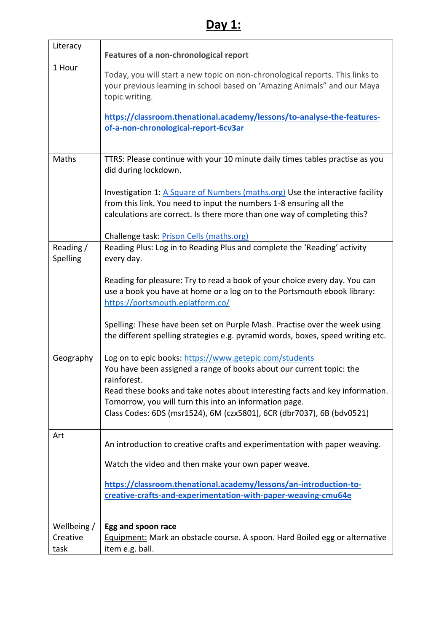## **Day 1:**

| Literacy                        | Features of a non-chronological report                                                                                                                                                                                                                                      |
|---------------------------------|-----------------------------------------------------------------------------------------------------------------------------------------------------------------------------------------------------------------------------------------------------------------------------|
| 1 Hour                          | Today, you will start a new topic on non-chronological reports. This links to<br>your previous learning in school based on 'Amazing Animals" and our Maya<br>topic writing.                                                                                                 |
|                                 | https://classroom.thenational.academy/lessons/to-analyse-the-features-<br>of-a-non-chronological-report-6cv3ar                                                                                                                                                              |
| Maths                           | TTRS: Please continue with your 10 minute daily times tables practise as you<br>did during lockdown.                                                                                                                                                                        |
|                                 | Investigation 1: A Square of Numbers (maths.org) Use the interactive facility<br>from this link. You need to input the numbers 1-8 ensuring all the<br>calculations are correct. Is there more than one way of completing this?<br>Challenge task: Prison Cells (maths.org) |
| Reading /                       | Reading Plus: Log in to Reading Plus and complete the 'Reading' activity                                                                                                                                                                                                    |
| Spelling                        | every day.                                                                                                                                                                                                                                                                  |
|                                 | Reading for pleasure: Try to read a book of your choice every day. You can<br>use a book you have at home or a log on to the Portsmouth ebook library:<br>https://portsmouth.eplatform.co/                                                                                  |
|                                 | Spelling: These have been set on Purple Mash. Practise over the week using<br>the different spelling strategies e.g. pyramid words, boxes, speed writing etc.                                                                                                               |
| Geography                       | Log on to epic books: https://www.getepic.com/students<br>You have been assigned a range of books about our current topic: the<br>rainforest.                                                                                                                               |
|                                 | Read these books and take notes about interesting facts and key information.                                                                                                                                                                                                |
|                                 | Tomorrow, you will turn this into an information page.<br>Class Codes: 6DS (msr1524), 6M (czx5801), 6CR (dbr7037), 6B (bdv0521)                                                                                                                                             |
| Art                             | An introduction to creative crafts and experimentation with paper weaving.                                                                                                                                                                                                  |
|                                 | Watch the video and then make your own paper weave.                                                                                                                                                                                                                         |
|                                 | https://classroom.thenational.academy/lessons/an-introduction-to-                                                                                                                                                                                                           |
|                                 | creative-crafts-and-experimentation-with-paper-weaving-cmu64e                                                                                                                                                                                                               |
| Wellbeing /<br>Creative<br>task | Egg and spoon race<br><b>Equipment:</b> Mark an obstacle course. A spoon. Hard Boiled egg or alternative<br>item e.g. ball.                                                                                                                                                 |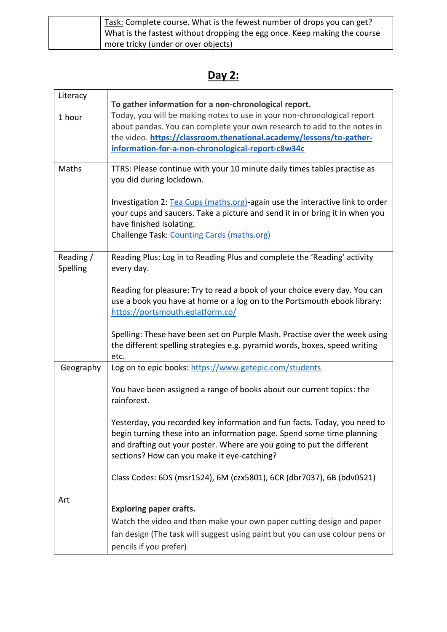| Task: Complete course. What is the fewest number of drops you can get?    |
|---------------------------------------------------------------------------|
| What is the fastest without dropping the egg once. Keep making the course |
| more tricky (under or over objects)                                       |

## **Day 2:**

| Literacy<br>1 hour    | To gather information for a non-chronological report.<br>Today, you will be making notes to use in your non-chronological report<br>about pandas. You can complete your own research to add to the notes in<br>the video. https://classroom.thenational.academy/lessons/to-gather-<br>information-for-a-non-chronological-report-c8w34c |
|-----------------------|-----------------------------------------------------------------------------------------------------------------------------------------------------------------------------------------------------------------------------------------------------------------------------------------------------------------------------------------|
| Maths                 | TTRS: Please continue with your 10 minute daily times tables practise as<br>you did during lockdown.                                                                                                                                                                                                                                    |
|                       | Investigation 2: Tea Cups (maths.org)-again use the interactive link to order<br>your cups and saucers. Take a picture and send it in or bring it in when you<br>have finished isolating.<br>Challenge Task: Counting Cards (maths.org)                                                                                                 |
| Reading /<br>Spelling | Reading Plus: Log in to Reading Plus and complete the 'Reading' activity<br>every day.                                                                                                                                                                                                                                                  |
|                       | Reading for pleasure: Try to read a book of your choice every day. You can<br>use a book you have at home or a log on to the Portsmouth ebook library:<br>https://portsmouth.eplatform.co/                                                                                                                                              |
|                       | Spelling: These have been set on Purple Mash. Practise over the week using<br>the different spelling strategies e.g. pyramid words, boxes, speed writing<br>etc.                                                                                                                                                                        |
| Geography             | Log on to epic books: https://www.getepic.com/students                                                                                                                                                                                                                                                                                  |
|                       | You have been assigned a range of books about our current topics: the<br>rainforest.                                                                                                                                                                                                                                                    |
|                       | Yesterday, you recorded key information and fun facts. Today, you need to<br>begin turning these into an information page. Spend some time planning<br>and drafting out your poster. Where are you going to put the different<br>sections? How can you make it eye-catching?                                                            |
|                       | Class Codes: 6DS (msr1524), 6M (czx5801), 6CR (dbr7037), 6B (bdv0521)                                                                                                                                                                                                                                                                   |
| Art                   | <b>Exploring paper crafts.</b>                                                                                                                                                                                                                                                                                                          |
|                       | Watch the video and then make your own paper cutting design and paper                                                                                                                                                                                                                                                                   |
|                       | fan design (The task will suggest using paint but you can use colour pens or<br>pencils if you prefer)                                                                                                                                                                                                                                  |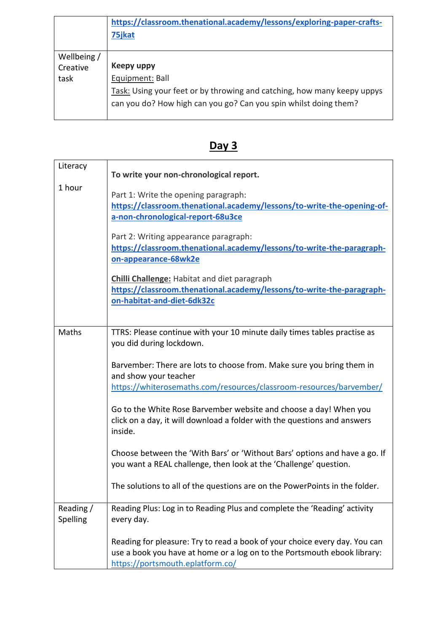|             | https://classroom.thenational.academy/lessons/exploring-paper-crafts-<br>75jkat |
|-------------|---------------------------------------------------------------------------------|
|             |                                                                                 |
| Wellbeing / |                                                                                 |
| Creative    | Keepy uppy                                                                      |
| task        | Equipment: Ball                                                                 |
|             | Task: Using your feet or by throwing and catching, how many keepy uppys         |
|             | can you do? How high can you go? Can you spin whilst doing them?                |
|             |                                                                                 |

| Literacy              | To write your non-chronological report.                                                                                                                                                    |
|-----------------------|--------------------------------------------------------------------------------------------------------------------------------------------------------------------------------------------|
| 1 hour                | Part 1: Write the opening paragraph:<br>https://classroom.thenational.academy/lessons/to-write-the-opening-of-<br>a-non-chronological-report-68u3ce                                        |
|                       | Part 2: Writing appearance paragraph:<br>https://classroom.thenational.academy/lessons/to-write-the-paragraph-<br>on-appearance-68wk2e                                                     |
|                       | <b>Chilli Challenge:</b> Habitat and diet paragraph<br>https://classroom.thenational.academy/lessons/to-write-the-paragraph-<br>on-habitat-and-diet-6dk32c                                 |
| Maths                 | TTRS: Please continue with your 10 minute daily times tables practise as<br>you did during lockdown.                                                                                       |
|                       | Barvember: There are lots to choose from. Make sure you bring them in<br>and show your teacher                                                                                             |
|                       | https://whiterosemaths.com/resources/classroom-resources/barvember/                                                                                                                        |
|                       | Go to the White Rose Barvember website and choose a day! When you<br>click on a day, it will download a folder with the questions and answers<br>inside.                                   |
|                       | Choose between the 'With Bars' or 'Without Bars' options and have a go. If<br>you want a REAL challenge, then look at the 'Challenge' question.                                            |
|                       | The solutions to all of the questions are on the PowerPoints in the folder.                                                                                                                |
| Reading /<br>Spelling | Reading Plus: Log in to Reading Plus and complete the 'Reading' activity<br>every day.                                                                                                     |
|                       | Reading for pleasure: Try to read a book of your choice every day. You can<br>use a book you have at home or a log on to the Portsmouth ebook library:<br>https://portsmouth.eplatform.co/ |

## **Day 3**